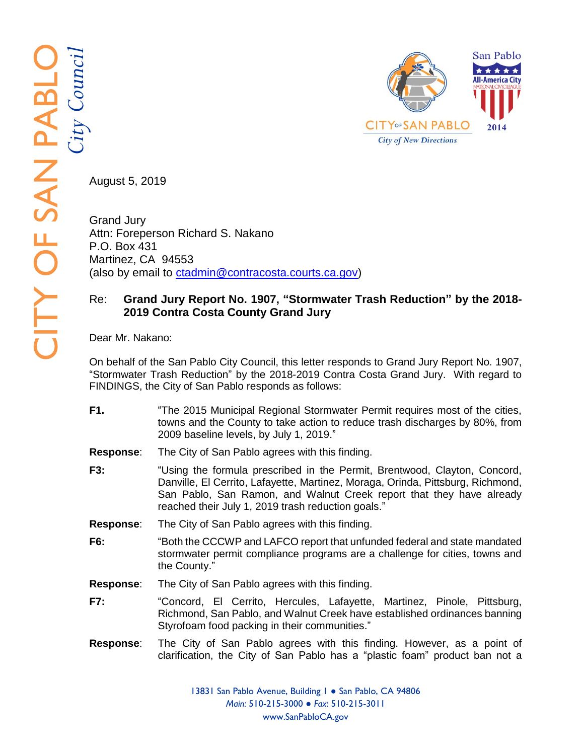

August 5, 2019

Grand Jury Attn: Foreperson Richard S. Nakano P.O. Box 431 Martinez, CA 94553 (also by email to [ctadmin@contracosta.courts.ca.gov\)](mailto:ctadmin@contracosta.courts.ca.gov)

## Re: Grand Jury Report No. 1907, "Stormwater Trash Reduction" by the 2018-**201 9 Contra Costa County Grand Jury**

Dear Mr. Nakano:

On behalf of the San Pablo City Council, this letter responds to Grand Jury Report No. 1907, "Stormwater Trash Reduction" by the 2018-2019 Contra Costa Grand Jury. With regard to FINDINGS, the City of San Pablo responds as follows:

- **F1.** "The 2015 Municipal Regional Stormwater Permit requires most of the cities, towns and the County to take action to reduce trash discharges by 80%, from 2009 baseline levels, by July 1, 2019."
- **Response** The City of San Pablo agrees with this finding.
- **F3 :** "Using the formula prescribed in the Permit, Brentwood, Clayton, Concord, Danville, El Cerrito, Lafayette, Martinez, Moraga, Orinda, Pittsburg, Richmond, San Pablo, San Ramon, and Walnut Creek report that they have already reached their July 1, 2019 trash reduction goals."
- **Response** The City of San Pablo agrees with this finding.
- **F 6 :** "Both the CCCWP and LAFCO report that unfunded federal and state mandated stormwater permit compliance programs are a challenge for cities, towns and the County."
- **Response**: The City of San Pablo agrees with this finding.
- **F7 :** "Concord, El Cerrito, Hercules, Lafayette, Martinez, Pinole, Pittsburg, Richmond, San Pablo, and Walnut Creek have established ordinances banning Styrofoam food packing in their communities."
- **Response** : The City of San Pablo agrees with this finding. However, as a point of clarification, the City of San Pablo has a "plastic foam" product ban not a

13831 San Pablo Avenue, Building 1 · San Pablo, CA 94806 *Main:* 510 -215 -300 0 ● *Fax*: 510 -215 -3011 www.SanPabloCA.gov